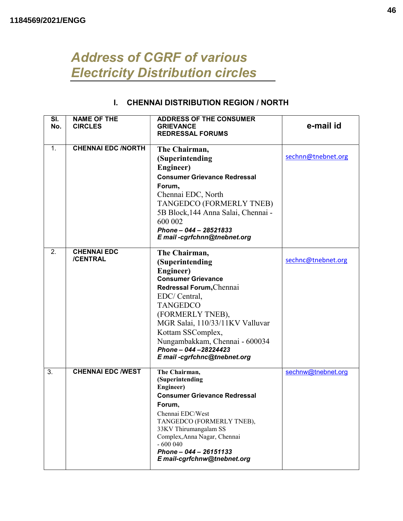## Address of CGRF of various Electricity Distribution circles

## I. CHENNAI DISTRIBUTION REGION / NORTH

| $\overline{\mathsf{SI}}$<br>No. | <b>NAME OF THE</b><br><b>CIRCLES</b> | <b>ADDRESS OF THE CONSUMER</b><br><b>GRIEVANCE</b><br><b>REDRESSAL FORUMS</b>                                                                                                                                                                                                                                      | e-mail id          |
|---------------------------------|--------------------------------------|--------------------------------------------------------------------------------------------------------------------------------------------------------------------------------------------------------------------------------------------------------------------------------------------------------------------|--------------------|
| 1.                              | <b>CHENNAI EDC /NORTH</b>            | The Chairman,<br>(Superintending<br>Engineer)<br><b>Consumer Grievance Redressal</b><br>Forum,<br>Chennai EDC, North<br>TANGEDCO (FORMERLY TNEB)<br>5B Block, 144 Anna Salai, Chennai -<br>600 002<br>Phone - 044 - 28521833<br>E mail -cgrfchnn@tnebnet.org                                                       | sechnn@tnebnet.org |
| 2.                              | <b>CHENNAI EDC</b><br>/CENTRAL       | The Chairman,<br>(Superintending<br>Engineer)<br><b>Consumer Grievance</b><br>Redressal Forum, Chennai<br>EDC/ Central,<br><b>TANGEDCO</b><br>(FORMERLY TNEB),<br>MGR Salai, 110/33/11KV Valluvar<br>Kottam SSComplex,<br>Nungambakkam, Chennai - 600034<br>Phone - 044 - 28224423<br>E mail -cgrfchnc@tnebnet.org | sechnc@tnebnet.org |
| 3.                              | <b>CHENNAI EDC /WEST</b>             | The Chairman,<br>(Superintending<br>Engineer)<br><b>Consumer Grievance Redressal</b><br>Forum,<br>Chennai EDC/West<br>TANGEDCO (FORMERLY TNEB),<br>33KV Thirumangalam SS<br>Complex, Anna Nagar, Chennai<br>$-600040$<br>Phone - $044 - 26151133$<br>E mail-cgrfchnw@tnebnet.org                                   | sechnw@tnebnet.org |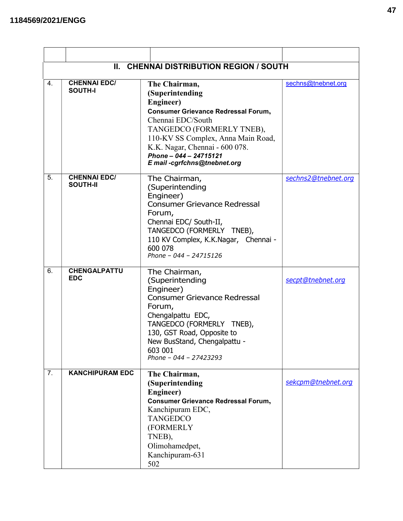|    |                                        | II. CHENNAI DISTRIBUTION REGION / SOUTH                                                                                                                                                                                                                                         |                     |
|----|----------------------------------------|---------------------------------------------------------------------------------------------------------------------------------------------------------------------------------------------------------------------------------------------------------------------------------|---------------------|
| 4. | <b>CHENNAI EDC/</b><br>SOUTH-I         | The Chairman,<br>(Superintending<br>Engineer)<br><b>Consumer Grievance Redressal Forum,</b><br>Chennai EDC/South<br>TANGEDCO (FORMERLY TNEB),<br>110-KV SS Complex, Anna Main Road,<br>K.K. Nagar, Chennai - 600 078.<br>Phone - 044 - 24715121<br>E mail -cgrfchns@tnebnet.org | sechns@tnebnet.org  |
| 5. | <b>CHENNAI EDC/</b><br><b>SOUTH-II</b> | The Chairman,<br>(Superintending<br>Engineer)<br><b>Consumer Grievance Redressal</b><br>Forum,<br>Chennai EDC/ South-II,<br>TANGEDCO (FORMERLY TNEB),<br>110 KV Complex, K.K.Nagar, Chennai -<br>600 078<br>Phone - 044 - 24715126                                              | sechns2@tnebnet.org |
| 6. | <b>CHENGALPATTU</b><br><b>EDC</b>      | The Chairman,<br>(Superintending<br>Engineer)<br><b>Consumer Grievance Redressal</b><br>Forum,<br>Chengalpattu EDC,<br>TANGEDCO (FORMERLY TNEB),<br>130, GST Road, Opposite to<br>New BusStand, Chengalpattu -<br>603 001<br>Phone - 044 - 27423293                             | secpt@tnebnet.org   |
| 7. | <b>KANCHIPURAM EDC</b>                 | The Chairman,<br>(Superintending<br>Engineer)<br><b>Consumer Grievance Redressal Forum,</b><br>Kanchipuram EDC,<br><b>TANGEDCO</b><br>(FORMERLY<br>TNEB),<br>Olimohamedpet,<br>Kanchipuram-631<br>502                                                                           | sekcpm@tnebnet.org  |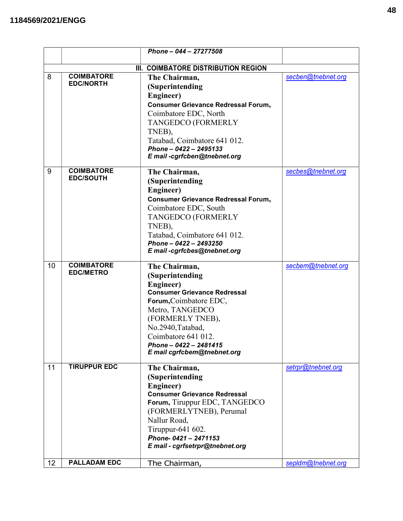|    |                                       | Phone - 044 - 27277508                                                                                                                                                                                                                                     |                    |
|----|---------------------------------------|------------------------------------------------------------------------------------------------------------------------------------------------------------------------------------------------------------------------------------------------------------|--------------------|
|    |                                       |                                                                                                                                                                                                                                                            |                    |
|    |                                       | III. COIMBATORE DISTRIBUTION REGION                                                                                                                                                                                                                        |                    |
| 8  | <b>COIMBATORE</b><br><b>EDC/NORTH</b> | The Chairman,<br>(Superintending<br>Engineer)<br><b>Consumer Grievance Redressal Forum,</b><br>Coimbatore EDC, North<br>TANGEDCO (FORMERLY<br>TNEB),<br>Tatabad, Coimbatore 641 012.<br>Phone - 0422 - 2495133<br>E mail -cgrfcben@tnebnet.org             | secben@tnebnet.org |
| 9  | <b>COIMBATORE</b><br><b>EDC/SOUTH</b> | The Chairman,<br>(Superintending<br>Engineer)<br><b>Consumer Grievance Redressal Forum,</b><br>Coimbatore EDC, South<br>TANGEDCO (FORMERLY<br>TNEB),<br>Tatabad, Coimbatore 641 012.<br>Phone - 0422 - 2493250<br>E mail -cgrfcbes@tnebnet.org             | secbes@tnebnet.org |
| 10 | <b>COIMBATORE</b><br><b>EDC/METRO</b> | The Chairman,<br>(Superintending<br>Engineer)<br><b>Consumer Grievance Redressal</b><br>Forum, Coimbatore EDC,<br>Metro, TANGEDCO<br>(FORMERLY TNEB),<br>No.2940, Tatabad,<br>Coimbatore 641 012.<br>Phone - 0422 - 2481415<br>E mail cgrfcbem@tnebnet.org | secbem@tnebnet.org |
| 11 | <b>TIRUPPUR EDC</b>                   | The Chairman,<br>(Superintending<br>Engineer)<br><b>Consumer Grievance Redressal</b><br>Forum, Tiruppur EDC, TANGEDCO<br>(FORMERLYTNEB), Perumal<br>Nallur Road,<br>Tiruppur-641 602.<br>Phone-0421-2471153<br>E mail - cgrfsetrpr@tnebnet.org             | setrpr@tnebnet.org |
| 12 | <b>PALLADAM EDC</b>                   | The Chairman,                                                                                                                                                                                                                                              | sepldm@tnebnet.org |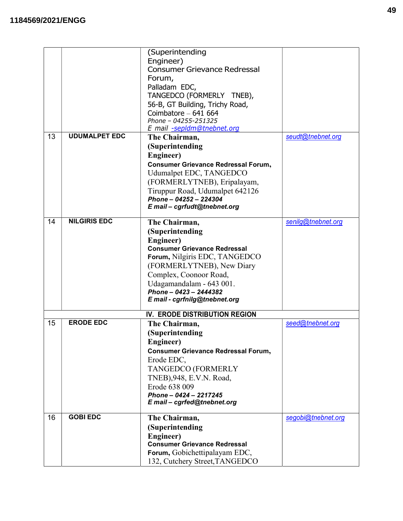|    |                      | (Superintending<br>Engineer)<br><b>Consumer Grievance Redressal</b> |                    |
|----|----------------------|---------------------------------------------------------------------|--------------------|
|    |                      | Forum,                                                              |                    |
|    |                      | Palladam EDC,                                                       |                    |
|    |                      | TANGEDCO (FORMERLY TNEB),                                           |                    |
|    |                      | 56-B, GT Building, Trichy Road,                                     |                    |
|    |                      | Coimbatore $-641664$                                                |                    |
|    |                      | Phone - 04255-251325<br>E mail -sepldm@tnebnet.org                  |                    |
| 13 | <b>UDUMALPET EDC</b> | The Chairman,                                                       | seudt@tnebnet.org  |
|    |                      | (Superintending                                                     |                    |
|    |                      | Engineer)                                                           |                    |
|    |                      | <b>Consumer Grievance Redressal Forum,</b>                          |                    |
|    |                      | Udumalpet EDC, TANGEDCO                                             |                    |
|    |                      | (FORMERLYTNEB), Eripalayam,                                         |                    |
|    |                      | Tiruppur Road, Udumalpet 642126                                     |                    |
|    |                      | Phone - 04252 - 224304                                              |                    |
|    |                      | E mail - cgrfudt@tnebnet.org                                        |                    |
| 14 | <b>NILGIRIS EDC</b>  | The Chairman,                                                       | senilg@tnebnet.org |
|    |                      | (Superintending                                                     |                    |
|    |                      | <b>Engineer)</b>                                                    |                    |
|    |                      | <b>Consumer Grievance Redressal</b>                                 |                    |
|    |                      | Forum, Nilgiris EDC, TANGEDCO                                       |                    |
|    |                      | (FORMERLYTNEB), New Diary                                           |                    |
|    |                      | Complex, Coonoor Road,                                              |                    |
|    |                      | Udagamandalam - 643 001.                                            |                    |
|    |                      | Phone - 0423 - 2444382<br>E mail - cgrfnilg@tnebnet.org             |                    |
|    |                      |                                                                     |                    |
| 15 | <b>ERODE EDC</b>     | IV. ERODE DISTRIBUTION REGION                                       |                    |
|    |                      | The Chairman,                                                       | seed@tnebnet.org   |
|    |                      | (Superintending                                                     |                    |
|    |                      | <b>Engineer</b> )                                                   |                    |
|    |                      | <b>Consumer Grievance Redressal Forum,</b><br>Erode EDC,            |                    |
|    |                      | TANGEDCO (FORMERLY                                                  |                    |
|    |                      | TNEB), 948, E.V.N. Road,                                            |                    |
|    |                      | Erode 638 009                                                       |                    |
|    |                      | Phone - 0424 - 2217245                                              |                    |
|    |                      | E mail - cgrfed@tnebnet.org                                         |                    |
| 16 | <b>GOBI EDC</b>      | The Chairman,                                                       | segobi@tnebnet.org |
|    |                      | (Superintending                                                     |                    |
|    |                      | Engineer)                                                           |                    |
|    |                      | <b>Consumer Grievance Redressal</b>                                 |                    |
|    |                      | Forum, Gobichettipalayam EDC,                                       |                    |
|    |                      | 132, Cutchery Street, TANGEDCO                                      |                    |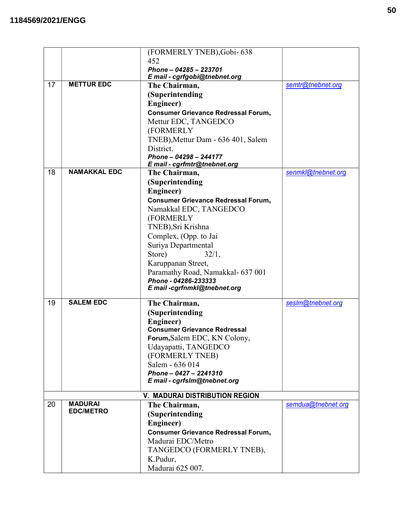|    |                     | (FORMERLY TNEB), Gobi- 638                              |                    |
|----|---------------------|---------------------------------------------------------|--------------------|
|    |                     | 452                                                     |                    |
|    |                     | Phone - 04285 - 223701<br>E mail - cgrfgobi@tnebnet.org |                    |
| 17 | <b>METTUR EDC</b>   | The Chairman,                                           | semtr@tnebnet.org  |
|    |                     | (Superintending                                         |                    |
|    |                     | Engineer)                                               |                    |
|    |                     | <b>Consumer Grievance Redressal Forum,</b>              |                    |
|    |                     | Mettur EDC, TANGEDCO                                    |                    |
|    |                     | (FORMERLY                                               |                    |
|    |                     | TNEB), Mettur Dam - 636 401, Salem                      |                    |
|    |                     | District.                                               |                    |
|    |                     | Phone - 04298 - 244177                                  |                    |
|    |                     | E mail - cgrfmtr@tnebnet.org                            |                    |
| 18 | <b>NAMAKKAL EDC</b> | The Chairman,                                           | senmkl@tnebnet.org |
|    |                     | (Superintending                                         |                    |
|    |                     | Engineer)                                               |                    |
|    |                     | <b>Consumer Grievance Redressal Forum,</b>              |                    |
|    |                     | Namakkal EDC, TANGEDCO                                  |                    |
|    |                     | (FORMERLY                                               |                    |
|    |                     |                                                         |                    |
|    |                     | TNEB), Sri Krishna                                      |                    |
|    |                     | Complex, (Opp. to Jai                                   |                    |
|    |                     | Suriya Departmental                                     |                    |
|    |                     | Store)<br>32/1,                                         |                    |
|    |                     | Karuppanan Street,                                      |                    |
|    |                     | Paramathy Road, Namakkal- 637 001                       |                    |
|    |                     | Phone - 04286-233333<br>E mail -cgrfnmkl@tnebnet.org    |                    |
|    |                     |                                                         |                    |
| 19 | <b>SALEM EDC</b>    | The Chairman,                                           | sesIm@tnebnet.org  |
|    |                     | (Superintending                                         |                    |
|    |                     | Engineer)                                               |                    |
|    |                     | <b>Consumer Grievance Redressal</b>                     |                    |
|    |                     | Forum, Salem EDC, KN Colony,                            |                    |
|    |                     | Udayapatti, TANGEDCO                                    |                    |
|    |                     | (FORMERLY TNEB)                                         |                    |
|    |                     | Salem - 636 014                                         |                    |
|    |                     | Phone - 0427 - 2241310                                  |                    |
|    |                     | E mail - cgrfslm@tnebnet.org                            |                    |
|    |                     | <b>V. MADURAI DISTRIBUTION REGION</b>                   |                    |
| 20 | <b>MADURAI</b>      | The Chairman,                                           | semdua@tnebnet.org |
|    | <b>EDC/METRO</b>    | (Superintending                                         |                    |
|    |                     | <b>Engineer</b> )                                       |                    |
|    |                     | <b>Consumer Grievance Redressal Forum,</b>              |                    |
|    |                     | Madurai EDC/Metro                                       |                    |
|    |                     | TANGEDCO (FORMERLY TNEB),                               |                    |
|    |                     | K.Pudur,                                                |                    |
|    |                     | Madurai 625 007.                                        |                    |
|    |                     |                                                         |                    |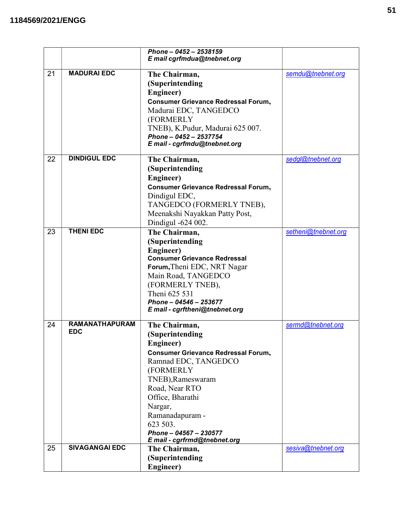|    |                                     | Phone - 0452 - 2538159<br>E mail cgrfmdua@tnebnet.org                                                                                                                                                                                                                                           |                     |
|----|-------------------------------------|-------------------------------------------------------------------------------------------------------------------------------------------------------------------------------------------------------------------------------------------------------------------------------------------------|---------------------|
| 21 | <b>MADURAI EDC</b>                  | The Chairman,<br>(Superintending<br>Engineer)<br><b>Consumer Grievance Redressal Forum,</b><br>Madurai EDC, TANGEDCO<br>(FORMERLY<br>TNEB), K.Pudur, Madurai 625 007.<br>Phone - 0452 - 2537754<br>E mail - cgrfmdu@tnebnet.org                                                                 | semdu@tnebnet.org   |
| 22 | <b>DINDIGUL EDC</b>                 | The Chairman,<br>(Superintending<br><b>Engineer</b> )<br><b>Consumer Grievance Redressal Forum,</b><br>Dindigul EDC,<br>TANGEDCO (FORMERLY TNEB),<br>Meenakshi Nayakkan Patty Post,<br>Dindigul -624 002.                                                                                       | sedgl@tnebnet.org   |
| 23 | <b>THENI EDC</b>                    | The Chairman,<br>(Superintending<br>Engineer)<br><b>Consumer Grievance Redressal</b><br>Forum, Theni EDC, NRT Nagar<br>Main Road, TANGEDCO<br>(FORMERLY TNEB),<br>Theni 625 531<br>Phone - 04546 - 253677<br>E mail - cgrftheni@tnebnet.org                                                     | setheni@tnebnet.org |
| 24 | <b>RAMANATHAPURAM</b><br><b>EDC</b> | The Chairman,<br>(Superintending<br>Engineer)<br><b>Consumer Grievance Redressal Forum,</b><br>Ramnad EDC, TANGEDCO<br>(FORMERLY<br>TNEB), Rameswaram<br>Road, Near RTO<br>Office, Bharathi<br>Nargar,<br>Ramanadapuram -<br>623 503.<br>Phone - 04567 - 230577<br>E mail - cgrfrmd@tnebnet.org | sermd@tnebnet.org   |
| 25 | <b>SIVAGANGAI EDC</b>               | The Chairman,<br>(Superintending<br>Engineer)                                                                                                                                                                                                                                                   | sesiva@tnebnet.org  |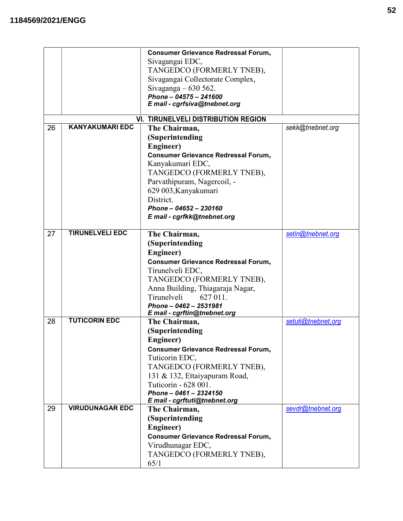|    |                        | <b>Consumer Grievance Redressal Forum,</b> |                    |
|----|------------------------|--------------------------------------------|--------------------|
|    |                        | Sivagangai EDC,                            |                    |
|    |                        | TANGEDCO (FORMERLY TNEB),                  |                    |
|    |                        | Sivagangai Collectorate Complex,           |                    |
|    |                        | Sivaganga $-630562$ .                      |                    |
|    |                        | Phone - 04575 - 241600                     |                    |
|    |                        | E mail - cgrfsiva@tnebnet.org              |                    |
|    |                        | <b>VI. TIRUNELVELI DISTRIBUTION REGION</b> |                    |
| 26 | <b>KANYAKUMARI EDC</b> | The Chairman,                              | sekk@tnebnet.org   |
|    |                        | (Superintending                            |                    |
|    |                        | Engineer)                                  |                    |
|    |                        | <b>Consumer Grievance Redressal Forum,</b> |                    |
|    |                        | Kanyakumari EDC,                           |                    |
|    |                        | TANGEDCO (FORMERLY TNEB),                  |                    |
|    |                        |                                            |                    |
|    |                        | Parvathipuram, Nagercoil, -                |                    |
|    |                        | 629 003, Kanyakumari                       |                    |
|    |                        | District.                                  |                    |
|    |                        | Phone - 04652 - 230160                     |                    |
|    |                        | E mail - cgrfkk@tnebnet.org                |                    |
| 27 | <b>TIRUNELVELI EDC</b> | The Chairman,                              | setin@tnebnet.org  |
|    |                        | (Superintending                            |                    |
|    |                        | Engineer)                                  |                    |
|    |                        | <b>Consumer Grievance Redressal Forum,</b> |                    |
|    |                        | Tirunelveli EDC,                           |                    |
|    |                        | TANGEDCO (FORMERLY TNEB),                  |                    |
|    |                        | Anna Building, Thiagaraja Nagar,           |                    |
|    |                        | Tirunelveli<br>627 011.                    |                    |
|    |                        | Phone - 0462 - 2531981                     |                    |
|    |                        | E mail - cgrftin@tnebnet.org               |                    |
| 28 | <b>TUTICORIN EDC</b>   | The Chairman,                              | setuti@tnebnet.org |
|    |                        | (Superintending                            |                    |
|    |                        | Engineer)                                  |                    |
|    |                        | <b>Consumer Grievance Redressal Forum,</b> |                    |
|    |                        | Tuticorin EDC,                             |                    |
|    |                        | TANGEDCO (FORMERLY TNEB),                  |                    |
|    |                        | 131 & 132, Ettaiyapuram Road,              |                    |
|    |                        | Tuticorin - 628 001.                       |                    |
|    |                        | Phone - 0461 - 2324150                     |                    |
|    |                        | E mail - cgrftuti@tnebnet.org              |                    |
| 29 | <b>VIRUDUNAGAR EDC</b> | The Chairman,                              | sevdr@tnebnet.org  |
|    |                        | (Superintending                            |                    |
|    |                        | Engineer)                                  |                    |
|    |                        | <b>Consumer Grievance Redressal Forum,</b> |                    |
|    |                        | Virudhunagar EDC,                          |                    |
|    |                        | TANGEDCO (FORMERLY TNEB),                  |                    |
|    |                        | 65/1                                       |                    |
|    |                        |                                            |                    |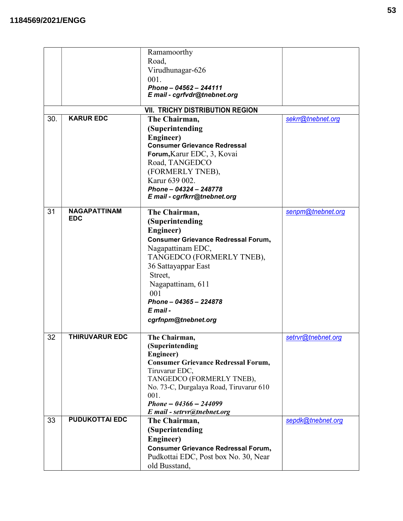|     |                       | Ramamoorthy                                            |                    |
|-----|-----------------------|--------------------------------------------------------|--------------------|
|     |                       | Road,                                                  |                    |
|     |                       | Virudhunagar-626                                       |                    |
|     |                       | 001.                                                   |                    |
|     |                       | Phone - 04562 - 244111                                 |                    |
|     |                       | E mail - cgrfvdr@tnebnet.org                           |                    |
|     |                       | <b>VII. TRICHY DISTRIBUTION REGION</b>                 |                    |
| 30. | <b>KARUR EDC</b>      | The Chairman,                                          | sekrr@tnebnet.org  |
|     |                       |                                                        |                    |
|     |                       | (Superintending                                        |                    |
|     |                       | Engineer)<br><b>Consumer Grievance Redressal</b>       |                    |
|     |                       | Forum, Karur EDC, 3, Kovai                             |                    |
|     |                       | Road, TANGEDCO                                         |                    |
|     |                       |                                                        |                    |
|     |                       | (FORMERLY TNEB),                                       |                    |
|     |                       | Karur 639 002.                                         |                    |
|     |                       | Phone - 04324 - 248778<br>E mail - cgrfkrr@tnebnet.org |                    |
|     |                       |                                                        |                    |
| 31  | <b>NAGAPATTINAM</b>   | The Chairman,                                          | senpm@tnebnet.org  |
|     | <b>EDC</b>            | (Superintending                                        |                    |
|     |                       | Engineer)                                              |                    |
|     |                       | <b>Consumer Grievance Redressal Forum,</b>             |                    |
|     |                       | Nagapattinam EDC,                                      |                    |
|     |                       | TANGEDCO (FORMERLY TNEB),                              |                    |
|     |                       | 36 Sattayappar East                                    |                    |
|     |                       | Street,                                                |                    |
|     |                       | Nagapattinam, 611                                      |                    |
|     |                       | 001                                                    |                    |
|     |                       | Phone - 04365 - 224878                                 |                    |
|     |                       | $E$ mail -                                             |                    |
|     |                       | cgrfnpm@tnebnet.org                                    |                    |
|     |                       |                                                        |                    |
| 32  | <b>THIRUVARUR EDC</b> | The Chairman,                                          | setrvr@tnebnet.org |
|     |                       | (Superintending                                        |                    |
|     |                       | Engineer)                                              |                    |
|     |                       | <b>Consumer Grievance Redressal Forum,</b>             |                    |
|     |                       | Tiruvarur EDC,                                         |                    |
|     |                       | TANGEDCO (FORMERLY TNEB),                              |                    |
|     |                       | No. 73-C, Durgalaya Road, Tiruvarur 610                |                    |
|     |                       | 001.                                                   |                    |
|     |                       | Phone - $04366 - 244099$                               |                    |
|     |                       | E mail - setrvr@tnebnet.org                            |                    |
| 33  | <b>PUDUKOTTAI EDC</b> | The Chairman,                                          | sepdk@tnebnet.org  |
|     |                       | (Superintending                                        |                    |
|     |                       | Engineer)                                              |                    |
|     |                       | <b>Consumer Grievance Redressal Forum,</b>             |                    |
|     |                       | Pudkottai EDC, Post box No. 30, Near                   |                    |
|     |                       | old Busstand,                                          |                    |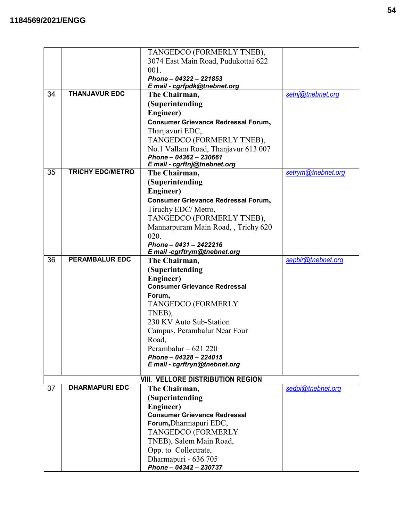|    |                         | TANGEDCO (FORMERLY TNEB),                  |                    |
|----|-------------------------|--------------------------------------------|--------------------|
|    |                         | 3074 East Main Road, Pudukottai 622        |                    |
|    |                         | 001.                                       |                    |
|    |                         | Phone - 04322 - 221853                     |                    |
|    |                         | E mail - cgrfpdk@tnebnet.org               |                    |
| 34 | <b>THANJAVUR EDC</b>    | The Chairman,                              | setnj@tnebnet.org  |
|    |                         | (Superintending                            |                    |
|    |                         | Engineer)                                  |                    |
|    |                         | <b>Consumer Grievance Redressal Forum,</b> |                    |
|    |                         | Thanjavuri EDC,                            |                    |
|    |                         | TANGEDCO (FORMERLY TNEB),                  |                    |
|    |                         | No.1 Vallam Road, Thanjavur 613 007        |                    |
|    |                         | Phone - 04362 - 230661                     |                    |
|    |                         | E mail - cgrftnj@tnebnet.org               |                    |
| 35 | <b>TRICHY EDC/METRO</b> | The Chairman,                              | setrym@tnebnet.org |
|    |                         | (Superintending                            |                    |
|    |                         | Engineer)                                  |                    |
|    |                         | <b>Consumer Grievance Redressal Forum,</b> |                    |
|    |                         | Tiruchy EDC/ Metro,                        |                    |
|    |                         | TANGEDCO (FORMERLY TNEB),                  |                    |
|    |                         | Mannarpuram Main Road, , Trichy 620        |                    |
|    |                         | 020.                                       |                    |
|    |                         | Phone - 0431 - 2422216                     |                    |
|    |                         | E mail -cgrftrym@tnebnet.org               |                    |
| 36 | <b>PERAMBALUR EDC</b>   | The Chairman,                              | sepblr@tnebnet.org |
|    |                         | (Superintending                            |                    |
|    |                         | Engineer)                                  |                    |
|    |                         | <b>Consumer Grievance Redressal</b>        |                    |
|    |                         | Forum,                                     |                    |
|    |                         | TANGEDCO (FORMERLY                         |                    |
|    |                         | TNEB),                                     |                    |
|    |                         | 230 KV Auto Sub-Station                    |                    |
|    |                         | Campus, Perambalur Near Four               |                    |
|    |                         | Road,                                      |                    |
|    |                         | Perambalur $-621220$                       |                    |
|    |                         | Phone - 04328 - 224015                     |                    |
|    |                         | E mail - cgrftryn@tnebnet.org              |                    |
|    |                         |                                            |                    |
| 37 | <b>DHARMAPURI EDC</b>   | <b>VIII. VELLORE DISTRIBUTION REGION</b>   |                    |
|    |                         | The Chairman,                              | sedpi@tnebnet.org  |
|    |                         | (Superintending                            |                    |
|    |                         | Engineer)                                  |                    |
|    |                         | <b>Consumer Grievance Redressal</b>        |                    |
|    |                         | Forum, Dharmapuri EDC,                     |                    |
|    |                         | TANGEDCO (FORMERLY                         |                    |
|    |                         | TNEB), Salem Main Road,                    |                    |
|    |                         | Opp. to Collectrate,                       |                    |
|    |                         | Dharmapuri - 636 705                       |                    |
|    |                         | Phone - 04342 - 230737                     |                    |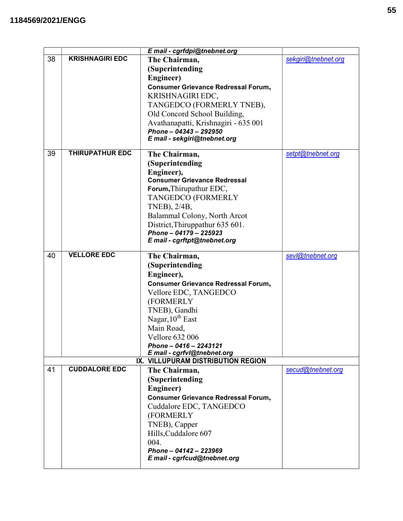|    |                        | E mail - cgrfdpi@tnebnet.org                                      |                     |
|----|------------------------|-------------------------------------------------------------------|---------------------|
| 38 | <b>KRISHNAGIRI EDC</b> | The Chairman,                                                     | sekgiri@tnebnet.org |
|    |                        | (Superintending                                                   |                     |
|    |                        | Engineer)                                                         |                     |
|    |                        | <b>Consumer Grievance Redressal Forum,</b>                        |                     |
|    |                        | KRISHNAGIRI EDC,                                                  |                     |
|    |                        | TANGEDCO (FORMERLY TNEB),                                         |                     |
|    |                        | Old Concord School Building,                                      |                     |
|    |                        | Avathanapatti, Krishnagiri - 635 001                              |                     |
|    |                        | Phone - 04343 - 292950                                            |                     |
|    |                        | E mail - sekgiri@tnebnet.org                                      |                     |
| 39 | <b>THIRUPATHUR EDC</b> | The Chairman,                                                     | setpt@tnebnet.org   |
|    |                        | (Superintending                                                   |                     |
|    |                        | Engineer),                                                        |                     |
|    |                        | <b>Consumer Grievance Redressal</b>                               |                     |
|    |                        | Forum, Thirupathur EDC,                                           |                     |
|    |                        | TANGEDCO (FORMERLY                                                |                     |
|    |                        | TNEB), 2/4B,                                                      |                     |
|    |                        | Balammal Colony, North Arcot                                      |                     |
|    |                        | District, Thiruppathur 635 601.                                   |                     |
|    |                        | Phone - 04179 - 225923<br>E mail - cgrftpt@tnebnet.org            |                     |
|    |                        |                                                                   |                     |
| 40 | <b>VELLORE EDC</b>     | The Chairman,                                                     | sevl@tnebnet.org    |
|    |                        | (Superintending                                                   |                     |
|    |                        | Engineer),                                                        |                     |
|    |                        | <b>Consumer Grievance Redressal Forum,</b>                        |                     |
|    |                        | Vellore EDC, TANGEDCO                                             |                     |
|    |                        | (FORMERLY                                                         |                     |
|    |                        | TNEB), Gandhi                                                     |                     |
|    |                        | Nagar, 10 <sup>th</sup> East                                      |                     |
|    |                        | Main Road,                                                        |                     |
|    |                        | <b>Vellore 632 006</b>                                            |                     |
|    |                        | Phone - 0416 - 2243121                                            |                     |
|    |                        | E mail - cgrfvl@tnebnet.org<br>IX. VILLUPURAM DISTRIBUTION REGION |                     |
| 41 | <b>CUDDALORE EDC</b>   | The Chairman,                                                     | secud@tnebnet.org   |
|    |                        | (Superintending                                                   |                     |
|    |                        | Engineer)                                                         |                     |
|    |                        | <b>Consumer Grievance Redressal Forum,</b>                        |                     |
|    |                        | Cuddalore EDC, TANGEDCO                                           |                     |
|    |                        | (FORMERLY                                                         |                     |
|    |                        | TNEB), Capper                                                     |                     |
|    |                        | Hills, Cuddalore 607                                              |                     |
|    |                        | 004.                                                              |                     |
|    |                        | Phone - 04142 - 223969                                            |                     |
|    |                        | E mail - cgrfcud@tnebnet.org                                      |                     |
|    |                        |                                                                   |                     |